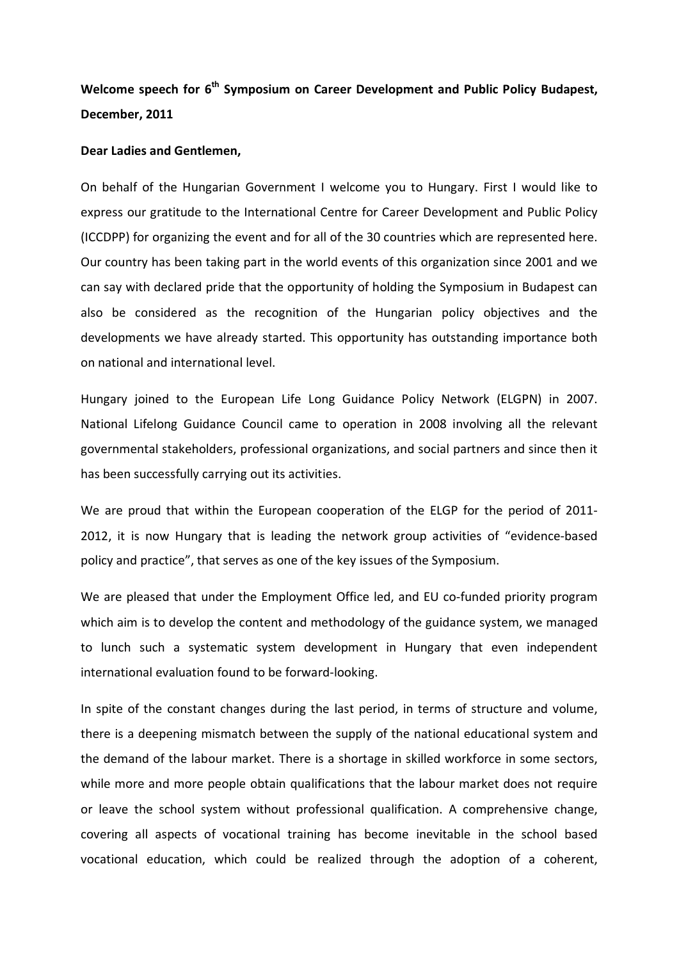Welcome speech for 6<sup>th</sup> Symposium on Career Development and Public Policy Budapest, **December, 2011**

## **Dear Ladies and Gentlemen,**

On behalf of the Hungarian Government I welcome you to Hungary. First I would like to express our gratitude to the International Centre for Career Development and Public Policy (ICCDPP) for organizing the event and for all of the 30 countries which are represented here. Our country has been taking part in the world events of this organization since 2001 and we can say with declared pride that the opportunity of holding the Symposium in Budapest can also be considered as the recognition of the Hungarian policy objectives and the developments we have already started. This opportunity has outstanding importance both on national and international level.

Hungary joined to the European Life Long Guidance Policy Network (ELGPN) in 2007. National Lifelong Guidance Council came to operation in 2008 involving all the relevant governmental stakeholders, professional organizations, and social partners and since then it has been successfully carrying out its activities.

We are proud that within the European cooperation of the ELGP for the period of 2011- 2012, it is now Hungary that is leading the network group activities of "evidence-based policy and practice", that serves as one of the key issues of the Symposium.

We are pleased that under the Employment Office led, and EU co-funded priority program which aim is to develop the content and methodology of the guidance system, we managed to lunch such a systematic system development in Hungary that even independent international evaluation found to be forward-looking.

In spite of the constant changes during the last period, in terms of structure and volume, there is a deepening mismatch between the supply of the national educational system and the demand of the labour market. There is a shortage in skilled workforce in some sectors, while more and more people obtain qualifications that the labour market does not require or leave the school system without professional qualification. A comprehensive change, covering all aspects of vocational training has become inevitable in the school based vocational education, which could be realized through the adoption of a coherent,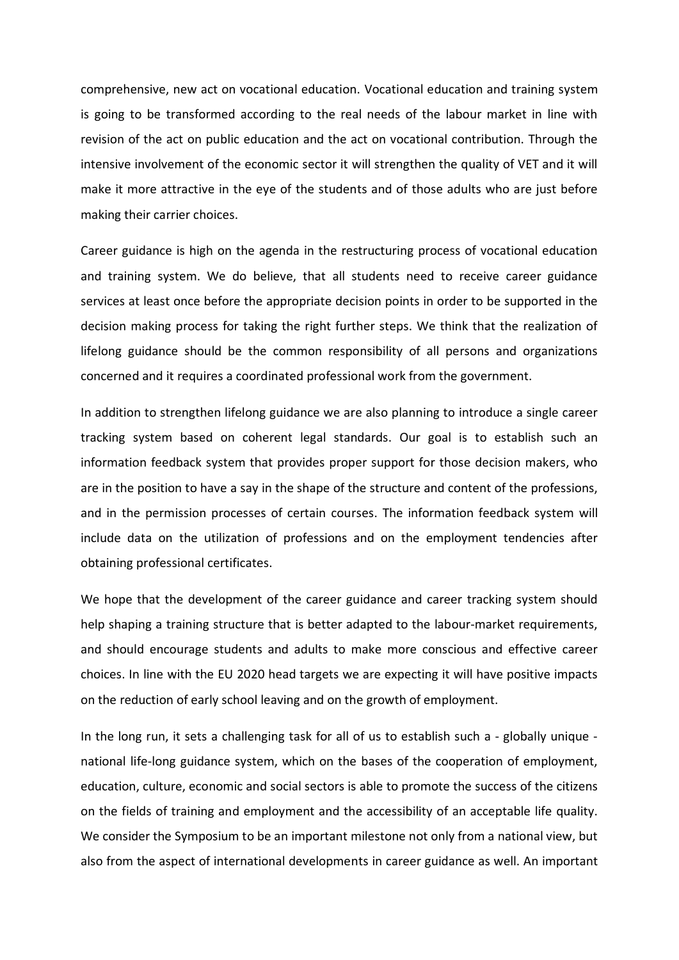comprehensive, new act on vocational education. Vocational education and training system is going to be transformed according to the real needs of the labour market in line with revision of the act on public education and the act on vocational contribution. Through the intensive involvement of the economic sector it will strengthen the quality of VET and it will make it more attractive in the eye of the students and of those adults who are just before making their carrier choices.

Career guidance is high on the agenda in the restructuring process of vocational education and training system. We do believe, that all students need to receive career guidance services at least once before the appropriate decision points in order to be supported in the decision making process for taking the right further steps. We think that the realization of lifelong guidance should be the common responsibility of all persons and organizations concerned and it requires a coordinated professional work from the government.

In addition to strengthen lifelong guidance we are also planning to introduce a single career tracking system based on coherent legal standards. Our goal is to establish such an information feedback system that provides proper support for those decision makers, who are in the position to have a say in the shape of the structure and content of the professions, and in the permission processes of certain courses. The information feedback system will include data on the utilization of professions and on the employment tendencies after obtaining professional certificates.

We hope that the development of the career guidance and career tracking system should help shaping a training structure that is better adapted to the labour-market requirements, and should encourage students and adults to make more conscious and effective career choices. In line with the EU 2020 head targets we are expecting it will have positive impacts on the reduction of early school leaving and on the growth of employment.

In the long run, it sets a challenging task for all of us to establish such a - globally unique national life-long guidance system, which on the bases of the cooperation of employment, education, culture, economic and social sectors is able to promote the success of the citizens on the fields of training and employment and the accessibility of an acceptable life quality. We consider the Symposium to be an important milestone not only from a national view, but also from the aspect of international developments in career guidance as well. An important